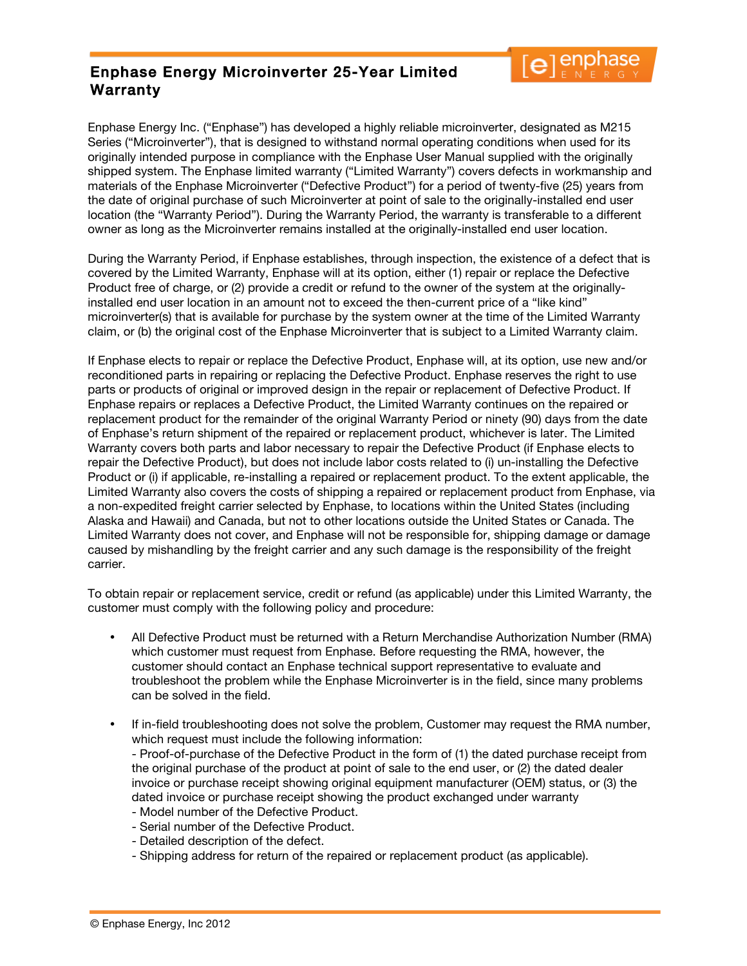## Enphase Energy Microinverter 25-Year Limited Warranty



Enphase Energy Inc. ("Enphase") has developed a highly reliable microinverter, designated as M215 Series ("Microinverter"), that is designed to withstand normal operating conditions when used for its originally intended purpose in compliance with the Enphase User Manual supplied with the originally shipped system. The Enphase limited warranty ("Limited Warranty") covers defects in workmanship and materials of the Enphase Microinverter ("Defective Product") for a period of twenty-five (25) years from the date of original purchase of such Microinverter at point of sale to the originally-installed end user location (the "Warranty Period"). During the Warranty Period, the warranty is transferable to a different owner as long as the Microinverter remains installed at the originally-installed end user location.

During the Warranty Period, if Enphase establishes, through inspection, the existence of a defect that is covered by the Limited Warranty, Enphase will at its option, either (1) repair or replace the Defective Product free of charge, or (2) provide a credit or refund to the owner of the system at the originallyinstalled end user location in an amount not to exceed the then-current price of a "like kind" microinverter(s) that is available for purchase by the system owner at the time of the Limited Warranty claim, or (b) the original cost of the Enphase Microinverter that is subject to a Limited Warranty claim.

If Enphase elects to repair or replace the Defective Product, Enphase will, at its option, use new and/or reconditioned parts in repairing or replacing the Defective Product. Enphase reserves the right to use parts or products of original or improved design in the repair or replacement of Defective Product. If Enphase repairs or replaces a Defective Product, the Limited Warranty continues on the repaired or replacement product for the remainder of the original Warranty Period or ninety (90) days from the date of Enphase's return shipment of the repaired or replacement product, whichever is later. The Limited Warranty covers both parts and labor necessary to repair the Defective Product (if Enphase elects to repair the Defective Product), but does not include labor costs related to (i) un-installing the Defective Product or (i) if applicable, re-installing a repaired or replacement product. To the extent applicable, the Limited Warranty also covers the costs of shipping a repaired or replacement product from Enphase, via a non-expedited freight carrier selected by Enphase, to locations within the United States (including Alaska and Hawaii) and Canada, but not to other locations outside the United States or Canada. The Limited Warranty does not cover, and Enphase will not be responsible for, shipping damage or damage caused by mishandling by the freight carrier and any such damage is the responsibility of the freight carrier.

To obtain repair or replacement service, credit or refund (as applicable) under this Limited Warranty, the customer must comply with the following policy and procedure:

- All Defective Product must be returned with a Return Merchandise Authorization Number (RMA) which customer must request from Enphase. Before requesting the RMA, however, the customer should contact an Enphase technical support representative to evaluate and troubleshoot the problem while the Enphase Microinverter is in the field, since many problems can be solved in the field.
- If in-field troubleshooting does not solve the problem, Customer may request the RMA number, which request must include the following information:

- Proof-of-purchase of the Defective Product in the form of (1) the dated purchase receipt from the original purchase of the product at point of sale to the end user, or (2) the dated dealer invoice or purchase receipt showing original equipment manufacturer (OEM) status, or (3) the dated invoice or purchase receipt showing the product exchanged under warranty

- Model number of the Defective Product.
- Serial number of the Defective Product.
- Detailed description of the defect.
- Shipping address for return of the repaired or replacement product (as applicable).